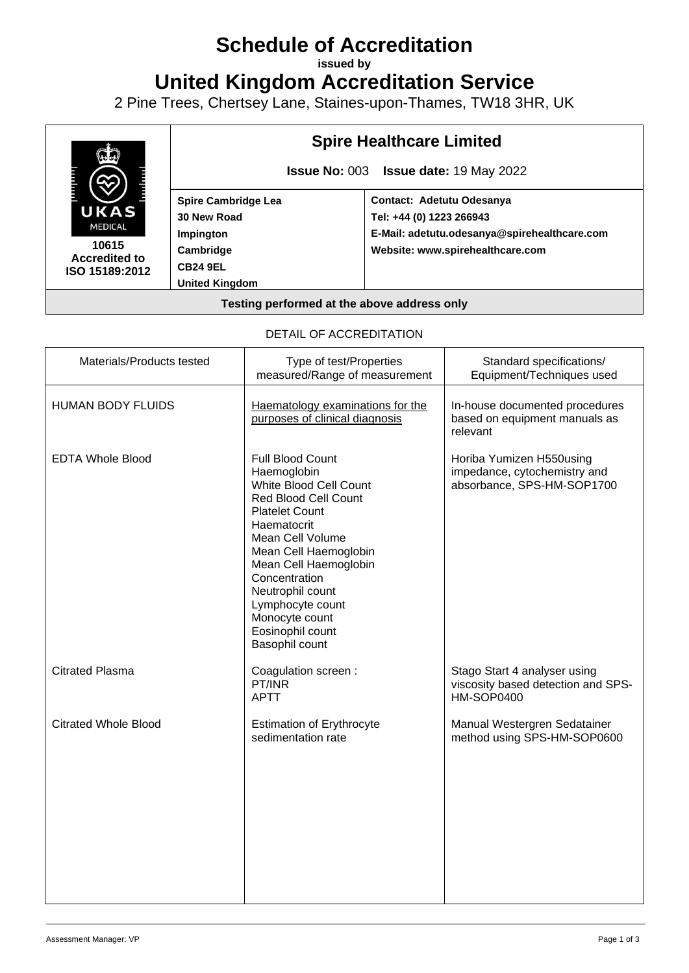# **Schedule of Accreditation**

**issued by**

**United Kingdom Accreditation Service**

2 Pine Trees, Chertsey Lane, Staines-upon-Thames, TW18 3HR, UK



#### DETAIL OF ACCREDITATION

| Materials/Products tested   | Type of test/Properties<br>measured/Range of measurement                                                                                                                                                                                                                                                                | Standard specifications/<br>Equipment/Techniques used                                   |
|-----------------------------|-------------------------------------------------------------------------------------------------------------------------------------------------------------------------------------------------------------------------------------------------------------------------------------------------------------------------|-----------------------------------------------------------------------------------------|
| <b>HUMAN BODY FLUIDS</b>    | Haematology examinations for the<br>purposes of clinical diagnosis                                                                                                                                                                                                                                                      | In-house documented procedures<br>based on equipment manuals as<br>relevant             |
| <b>EDTA Whole Blood</b>     | Full Blood Count<br>Haemoglobin<br>White Blood Cell Count<br><b>Red Blood Cell Count</b><br><b>Platelet Count</b><br>Haematocrit<br>Mean Cell Volume<br>Mean Cell Haemoglobin<br>Mean Cell Haemoglobin<br>Concentration<br>Neutrophil count<br>Lymphocyte count<br>Monocyte count<br>Eosinophil count<br>Basophil count | Horiba Yumizen H550using<br>impedance, cytochemistry and<br>absorbance, SPS-HM-SOP1700  |
| <b>Citrated Plasma</b>      | Coagulation screen :<br>PT/INR<br><b>APTT</b>                                                                                                                                                                                                                                                                           | Stago Start 4 analyser using<br>viscosity based detection and SPS-<br><b>HM-SOP0400</b> |
| <b>Citrated Whole Blood</b> | <b>Estimation of Erythrocyte</b><br>sedimentation rate                                                                                                                                                                                                                                                                  | Manual Westergren Sedatainer<br>method using SPS-HM-SOP0600                             |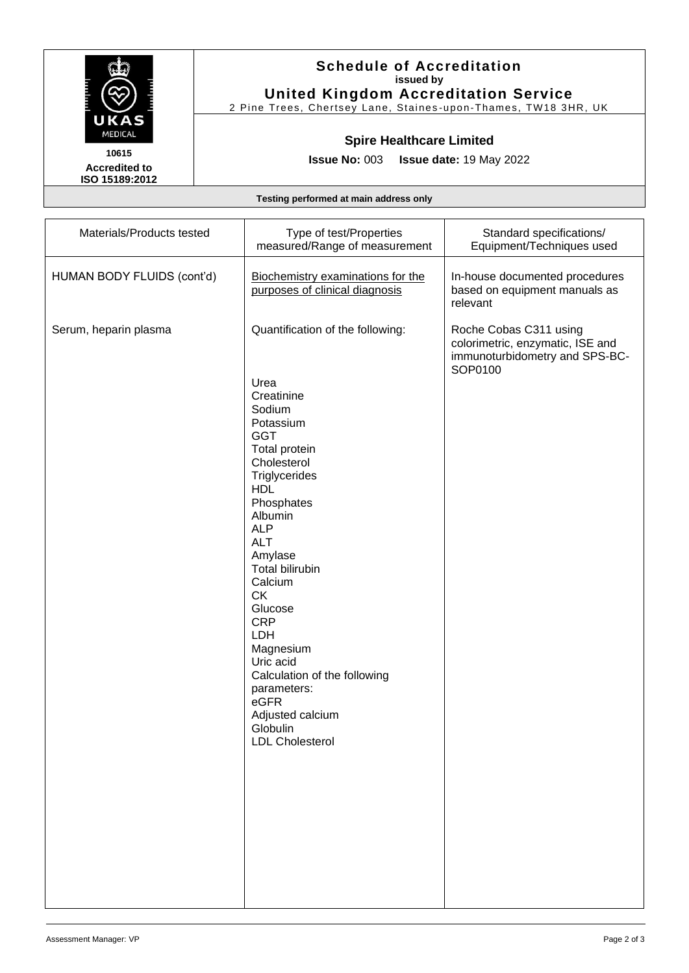

**Accredited to ISO 15189:2012** 

### **Schedule of Accreditation issued by United Kingdom Accreditation Service**

2 Pine Trees, Chertsey Lane, Staines -upon -Thames, TW18 3HR, UK

# **Spire Healthcare Limited**

**Issue No:** 003 **Issue date:** 19 May 2022

**Testing performed at main address only**

| Materials/Products tested  | Type of test/Properties<br>measured/Range of measurement                                                                                                                                                                                                                                                                                                                                                     | Standard specifications/<br>Equipment/Techniques used                                                   |
|----------------------------|--------------------------------------------------------------------------------------------------------------------------------------------------------------------------------------------------------------------------------------------------------------------------------------------------------------------------------------------------------------------------------------------------------------|---------------------------------------------------------------------------------------------------------|
| HUMAN BODY FLUIDS (cont'd) | Biochemistry examinations for the<br>purposes of clinical diagnosis                                                                                                                                                                                                                                                                                                                                          | In-house documented procedures<br>based on equipment manuals as<br>relevant                             |
| Serum, heparin plasma      | Quantification of the following:                                                                                                                                                                                                                                                                                                                                                                             | Roche Cobas C311 using<br>colorimetric, enzymatic, ISE and<br>immunoturbidometry and SPS-BC-<br>SOP0100 |
|                            | Urea<br>Creatinine<br>Sodium<br>Potassium<br><b>GGT</b><br>Total protein<br>Cholesterol<br>Triglycerides<br><b>HDL</b><br>Phosphates<br>Albumin<br><b>ALP</b><br><b>ALT</b><br>Amylase<br>Total bilirubin<br>Calcium<br><b>CK</b><br>Glucose<br><b>CRP</b><br>LDH<br>Magnesium<br>Uric acid<br>Calculation of the following<br>parameters:<br>eGFR<br>Adjusted calcium<br>Globulin<br><b>LDL Cholesterol</b> |                                                                                                         |
|                            |                                                                                                                                                                                                                                                                                                                                                                                                              |                                                                                                         |